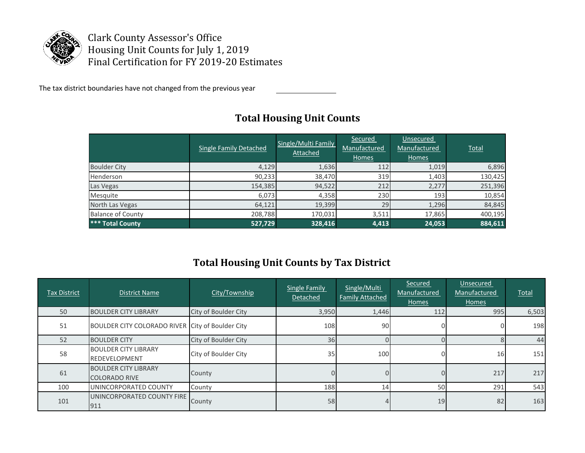

Clark County Assessor's Office Housing Unit Counts for July 1, 2019 Final Certification for FY 2019-20 Estimates

The tax district boundaries have not changed from the previous year

|                          | Single Family Detached | Single/Multi Family<br>Attached | Secured<br>Manufactured<br>Homes | Unsecured<br>Manufactured<br>Homes | Total   |
|--------------------------|------------------------|---------------------------------|----------------------------------|------------------------------------|---------|
| <b>Boulder City</b>      | 4,129                  | 1,636                           | 112                              | 1,019                              | 6,896   |
| Henderson                | 90,233                 | 38,470                          | 319                              | 1,403                              | 130,425 |
| Las Vegas                | 154,385                | 94,522                          | 212                              | 2,277                              | 251,396 |
| Mesquite                 | 6,073                  | 4,358                           | 230                              | 193                                | 10,854  |
| North Las Vegas          | 64,121                 | 19,399                          | 29                               | 1,296                              | 84,845  |
| <b>Balance of County</b> | 208,788                | 170,031                         | 3,511                            | 17,865                             | 400,195 |
| *** Total County         | 527,729                | 328,416                         | 4,413                            | 24,053                             | 884,611 |

## **Total Housing Unit Counts**

## **Total Housing Unit Counts by Tax District**

| Tax District | District Name                                       | City/Township        | <b>Single Family</b><br>Detached | Single/Multi<br><b>Family Attached</b> | <b>Secured</b><br>Manufactured<br>Homes | Unsecured<br>Manufactured<br>Homes | Total |
|--------------|-----------------------------------------------------|----------------------|----------------------------------|----------------------------------------|-----------------------------------------|------------------------------------|-------|
| 50           | <b>BOULDER CITY LIBRARY</b>                         | City of Boulder City | 3,950                            | 1,446                                  | 112                                     | 995                                | 6,503 |
| 51           | BOULDER CITY COLORADO RIVER City of Boulder City    |                      | 108                              | 90                                     |                                         |                                    | 198   |
| 52           | <b>BOULDER CITY</b>                                 | City of Boulder City | 36                               |                                        |                                         |                                    | 44    |
| 58           | <b>BOULDER CITY LIBRARY</b><br>REDEVELOPMENT        | City of Boulder City | 35                               | 100                                    |                                         | 16                                 | 151   |
| 61           | <b>BOULDER CITY LIBRARY</b><br><b>COLORADO RIVE</b> | County               |                                  |                                        |                                         | 217                                | 217   |
| 100          | UNINCORPORATED COUNTY                               | County               | 188                              | 14                                     | 50                                      | 291                                | 543   |
| 101          | UNINCORPORATED COUNTY FIRE<br>911                   | County               | 58                               |                                        | 19                                      | 82                                 | 163   |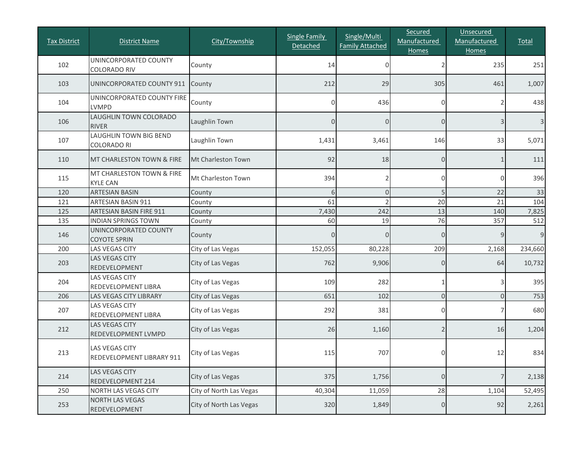| <b>Tax District</b> | <b>District Name</b>                               | City/Township           | <b>Single Family</b><br>Detached | Single/Multi<br><b>Family Attached</b> | Secured<br>Manufactured<br><b>Homes</b> | Unsecured<br>Manufactured<br><b>Homes</b> | Total   |
|---------------------|----------------------------------------------------|-------------------------|----------------------------------|----------------------------------------|-----------------------------------------|-------------------------------------------|---------|
| 102                 | UNINCORPORATED COUNTY<br><b>COLORADO RIV</b>       | County                  | 14                               | 0                                      | 2                                       | 235                                       | 251     |
| 103                 | UNINCORPORATED COUNTY 911                          | County                  | 212                              | 29                                     | 305                                     | 461                                       | 1,007   |
| 104                 | UNINCORPORATED COUNTY FIRE<br><b>LVMPD</b>         | County                  |                                  | 436                                    | 0                                       | 2                                         | 438     |
| 106                 | LAUGHLIN TOWN COLORADO<br><b>RIVER</b>             | Laughlin Town           | $\Omega$                         | $\overline{0}$                         | $\overline{O}$                          | $\mathsf 3$                               | 3       |
| 107                 | LAUGHLIN TOWN BIG BEND<br><b>COLORADO RI</b>       | Laughlin Town           | 1,431                            | 3,461                                  | 146                                     | 33                                        | 5,071   |
| 110                 | MT CHARLESTON TOWN & FIRE                          | Mt Charleston Town      | 92                               | 18                                     | $\overline{0}$                          | 1                                         | 111     |
| 115                 | MT CHARLESTON TOWN & FIRE<br><b>KYLE CAN</b>       | Mt Charleston Town      | 394                              |                                        | 0                                       | $\mathbf 0$                               | 396     |
| 120                 | <b>ARTESIAN BASIN</b>                              | County                  | 6                                | $\Omega$                               | 5                                       | 22                                        | 33      |
| 121                 | <b>ARTESIAN BASIN 911</b>                          | County                  | 61                               |                                        | 20                                      | 21                                        | 104     |
| 125                 | <b>ARTESIAN BASIN FIRE 911</b>                     | County                  | 7,430                            | 242                                    | 13                                      | 140                                       | 7,825   |
| 135                 | <b>INDIAN SPRINGS TOWN</b>                         | County                  | 60                               | 19                                     | 76                                      | 357                                       | 512     |
| 146                 | UNINCORPORATED COUNTY<br><b>COYOTE SPRIN</b>       | County                  | $\Omega$                         | $\Omega$                               | 0                                       | 9                                         | 9       |
| 200                 | LAS VEGAS CITY                                     | City of Las Vegas       | 152,055                          | 80,228                                 | 209                                     | 2,168                                     | 234,660 |
| 203                 | <b>LAS VEGAS CITY</b><br>REDEVELOPMENT             | City of Las Vegas       | 762                              | 9,906                                  | 0                                       | 64                                        | 10,732  |
| 204                 | <b>LAS VEGAS CITY</b><br>REDEVELOPMENT LIBRA       | City of Las Vegas       | 109                              | 282                                    | 1                                       | 3                                         | 395     |
| 206                 | LAS VEGAS CITY LIBRARY                             | City of Las Vegas       | 651                              | 102                                    | $\overline{0}$                          | $\mathsf{O}\xspace$                       | 753     |
| 207                 | <b>LAS VEGAS CITY</b><br>REDEVELOPMENT LIBRA       | City of Las Vegas       | 292                              | 381                                    | 0                                       | 7                                         | 680     |
| 212                 | <b>LAS VEGAS CITY</b><br>REDEVELOPMENT LVMPD       | City of Las Vegas       | 26                               | 1,160                                  | 2                                       | 16                                        | 1,204   |
| 213                 | <b>LAS VEGAS CITY</b><br>REDEVELOPMENT LIBRARY 911 | City of Las Vegas       | 115                              | 707                                    | 0                                       | 12                                        | 834     |
| 214                 | LAS VEGAS CITY<br>REDEVELOPMENT 214                | City of Las Vegas       | 375                              | 1,756                                  | $\overline{0}$                          | $\overline{7}$                            | 2,138   |
| 250                 | NORTH LAS VEGAS CITY                               | City of North Las Vegas | 40,304                           | 11,059                                 | 28                                      | 1,104                                     | 52,495  |
| 253                 | <b>NORTH LAS VEGAS</b><br>REDEVELOPMENT            | City of North Las Vegas | 320                              | 1,849                                  | $\boldsymbol{0}$                        | 92                                        | 2,261   |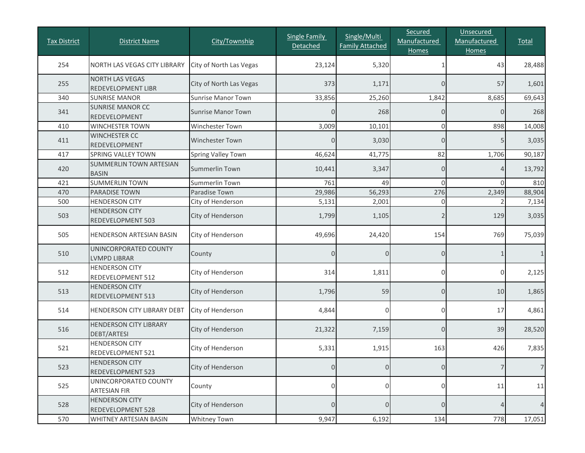| <b>Tax District</b> | <b>District Name</b>                         | City/Township             | <b>Single Family</b><br>Detached | Single/Multi<br><b>Family Attached</b> | Secured<br>Manufactured<br><b>Homes</b> | Unsecured<br>Manufactured<br><b>Homes</b> | <b>Total</b>    |
|---------------------|----------------------------------------------|---------------------------|----------------------------------|----------------------------------------|-----------------------------------------|-------------------------------------------|-----------------|
| 254                 | <b>NORTH LAS VEGAS CITY LIBRARY</b>          | City of North Las Vegas   | 23,124                           | 5,320                                  | $\mathbf{1}$                            | 43                                        | 28,488          |
| 255                 | NORTH LAS VEGAS<br>REDEVELOPMENT LIBR        | City of North Las Vegas   | 373                              | 1,171                                  | 0                                       | 57                                        | 1,601           |
| 340                 | <b>SUNRISE MANOR</b>                         | <b>Sunrise Manor Town</b> | 33,856                           | 25,260                                 | 1,842                                   | 8,685                                     | 69,643          |
| 341                 | <b>SUNRISE MANOR CC</b><br>REDEVELOPMENT     | <b>Sunrise Manor Town</b> | $\overline{O}$                   | 268                                    | 0                                       | $\overline{0}$                            | 268             |
| 410                 | <b>WINCHESTER TOWN</b>                       | Winchester Town           | 3,009                            | 10,101                                 | $\mathsf{O}\xspace$                     | 898                                       | 14,008          |
| 411                 | <b>WINCHESTER CC</b><br>REDEVELOPMENT        | <b>Winchester Town</b>    | $\overline{0}$                   | 3,030                                  | 0                                       | 5                                         | 3,035           |
| 417                 | <b>SPRING VALLEY TOWN</b>                    | Spring Valley Town        | 46,624                           | 41,775                                 | 82                                      | 1,706                                     | 90,187          |
| 420                 | SUMMERLIN TOWN ARTESIAN<br><b>BASIN</b>      | Summerlin Town            | 10,441                           | 3,347                                  | 0                                       | 4                                         | 13,792          |
| 421                 | <b>SUMMERLIN TOWN</b>                        | <b>Summerlin Town</b>     | 761                              | 49                                     | $\Omega$                                | $\Omega$                                  | 810             |
| 470                 | <b>PARADISE TOWN</b>                         | Paradise Town             | 29,986                           | 56,293                                 | 276                                     | 2,349                                     | 88,904          |
| 500                 | <b>HENDERSON CITY</b>                        | City of Henderson         | 5,131                            | 2,001                                  | $\mathbf 0$                             |                                           | 7,134           |
| 503                 | <b>HENDERSON CITY</b><br>REDEVELOPMENT 503   | City of Henderson         | 1,799                            | 1,105                                  | $\overline{2}$                          | 129                                       | 3,035           |
| 505                 | HENDERSON ARTESIAN BASIN                     | City of Henderson         | 49,696                           | 24,420                                 | 154                                     | 769                                       | 75,039          |
| 510                 | UNINCORPORATED COUNTY<br><b>LVMPD LIBRAR</b> | County                    | $\Omega$                         | $\Omega$                               | 0                                       | $\mathbf{1}$                              | 1               |
| 512                 | <b>HENDERSON CITY</b><br>REDEVELOPMENT 512   | City of Henderson         | 314                              | 1,811                                  | 0                                       | $\mathbf 0$                               | 2,125           |
| 513                 | <b>HENDERSON CITY</b><br>REDEVELOPMENT 513   | City of Henderson         | 1,796                            | 59                                     | 0                                       | 10                                        | 1,865           |
| 514                 | HENDERSON CITY LIBRARY DEBT                  | City of Henderson         | 4,844                            | 0                                      | 0                                       | 17                                        | 4,861           |
| 516                 | <b>HENDERSON CITY LIBRARY</b><br>DEBT/ARTESI | City of Henderson         | 21,322                           | 7,159                                  | $\overline{0}$                          | 39                                        | 28,520          |
| 521                 | <b>HENDERSON CITY</b><br>REDEVELOPMENT 521   | City of Henderson         | 5,331                            | 1,915                                  | 163                                     | 426                                       | 7,835           |
| 523                 | <b>HENDERSON CITY</b><br>REDEVELOPMENT 523   | City of Henderson         | $\overline{O}$                   | $\overline{0}$                         | $\overline{0}$                          | $\overline{7}$                            | $7\overline{ }$ |
| 525                 | UNINCORPORATED COUNTY<br><b>ARTESIAN FIR</b> | County                    | 0                                | 0                                      | 0                                       | $11\,$                                    | 11              |
| 528                 | <b>HENDERSON CITY</b><br>REDEVELOPMENT 528   | City of Henderson         | $\overline{0}$                   | $\overline{O}$                         | 0                                       | $\overline{4}$                            | 4               |
| 570                 | WHITNEY ARTESIAN BASIN                       | Whitney Town              | 9,947                            | 6,192                                  | 134                                     | 778                                       | 17,051          |